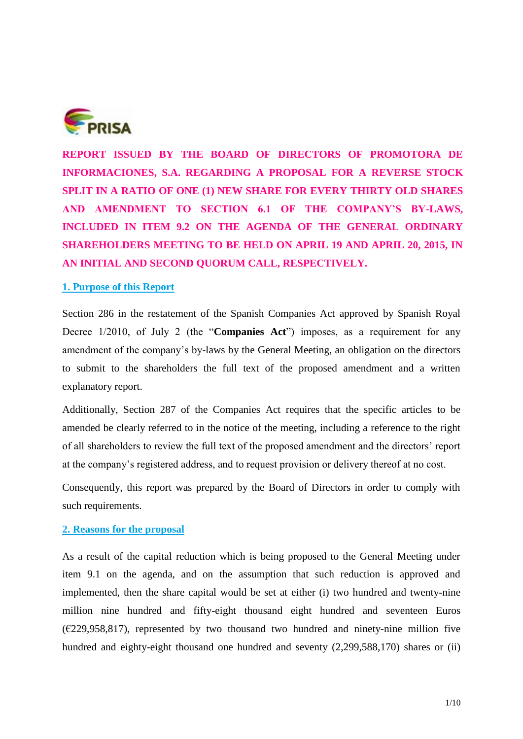

**REPORT ISSUED BY THE BOARD OF DIRECTORS OF PROMOTORA DE INFORMACIONES, S.A. REGARDING A PROPOSAL FOR A REVERSE STOCK SPLIT IN A RATIO OF ONE (1) NEW SHARE FOR EVERY THIRTY OLD SHARES AND AMENDMENT TO SECTION 6.1 OF THE COMPANY'S BY-LAWS, INCLUDED IN ITEM 9.2 ON THE AGENDA OF THE GENERAL ORDINARY SHAREHOLDERS MEETING TO BE HELD ON APRIL 19 AND APRIL 20, 2015, IN AN INITIAL AND SECOND QUORUM CALL, RESPECTIVELY.** 

## **1. Purpose of this Report**

Section 286 in the restatement of the Spanish Companies Act approved by Spanish Royal Decree 1/2010, of July 2 (the "**Companies Act**") imposes, as a requirement for any amendment of the company's by-laws by the General Meeting, an obligation on the directors to submit to the shareholders the full text of the proposed amendment and a written explanatory report.

Additionally, Section 287 of the Companies Act requires that the specific articles to be amended be clearly referred to in the notice of the meeting, including a reference to the right of all shareholders to review the full text of the proposed amendment and the directors' report at the company's registered address, and to request provision or delivery thereof at no cost.

Consequently, this report was prepared by the Board of Directors in order to comply with such requirements.

# **2. Reasons for the proposal**

As a result of the capital reduction which is being proposed to the General Meeting under item 9.1 on the agenda, and on the assumption that such reduction is approved and implemented, then the share capital would be set at either (i) two hundred and twenty-nine million nine hundred and fifty-eight thousand eight hundred and seventeen Euros  $(E229,958,817)$ , represented by two thousand two hundred and ninety-nine million five hundred and eighty-eight thousand one hundred and seventy (2,299,588,170) shares or (ii)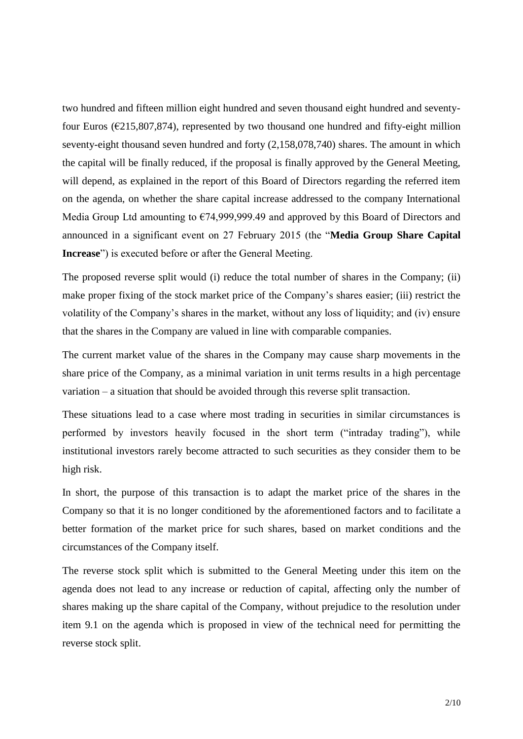two hundred and fifteen million eight hundred and seven thousand eight hundred and seventyfour Euros ( $\epsilon$ 215,807,874), represented by two thousand one hundred and fifty-eight million seventy-eight thousand seven hundred and forty (2,158,078,740) shares. The amount in which the capital will be finally reduced, if the proposal is finally approved by the General Meeting, will depend, as explained in the report of this Board of Directors regarding the referred item on the agenda, on whether the share capital increase addressed to the company International Media Group Ltd amounting to €74,999,999.49 and approved by this Board of Directors and announced in a significant event on 27 February 2015 (the "**Media Group Share Capital Increase**") is executed before or after the General Meeting.

The proposed reverse split would (i) reduce the total number of shares in the Company; (ii) make proper fixing of the stock market price of the Company's shares easier; (iii) restrict the volatility of the Company's shares in the market, without any loss of liquidity; and (iv) ensure that the shares in the Company are valued in line with comparable companies.

The current market value of the shares in the Company may cause sharp movements in the share price of the Company, as a minimal variation in unit terms results in a high percentage variation – a situation that should be avoided through this reverse split transaction.

These situations lead to a case where most trading in securities in similar circumstances is performed by investors heavily focused in the short term ("intraday trading"), while institutional investors rarely become attracted to such securities as they consider them to be high risk.

In short, the purpose of this transaction is to adapt the market price of the shares in the Company so that it is no longer conditioned by the aforementioned factors and to facilitate a better formation of the market price for such shares, based on market conditions and the circumstances of the Company itself.

The reverse stock split which is submitted to the General Meeting under this item on the agenda does not lead to any increase or reduction of capital, affecting only the number of shares making up the share capital of the Company, without prejudice to the resolution under item 9.1 on the agenda which is proposed in view of the technical need for permitting the reverse stock split.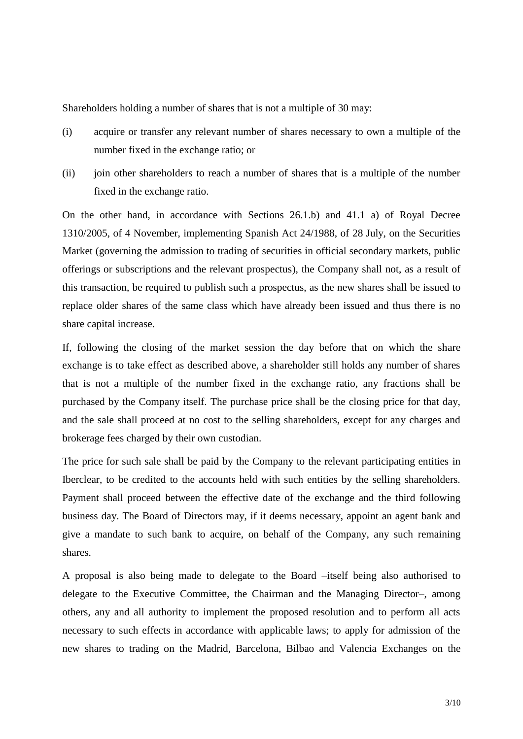Shareholders holding a number of shares that is not a multiple of 30 may:

- (i) acquire or transfer any relevant number of shares necessary to own a multiple of the number fixed in the exchange ratio; or
- (ii) join other shareholders to reach a number of shares that is a multiple of the number fixed in the exchange ratio.

On the other hand, in accordance with Sections 26.1.b) and 41.1 a) of Royal Decree 1310/2005, of 4 November, implementing Spanish Act 24/1988, of 28 July, on the Securities Market (governing the admission to trading of securities in official secondary markets, public offerings or subscriptions and the relevant prospectus), the Company shall not, as a result of this transaction, be required to publish such a prospectus, as the new shares shall be issued to replace older shares of the same class which have already been issued and thus there is no share capital increase.

If, following the closing of the market session the day before that on which the share exchange is to take effect as described above, a shareholder still holds any number of shares that is not a multiple of the number fixed in the exchange ratio, any fractions shall be purchased by the Company itself. The purchase price shall be the closing price for that day, and the sale shall proceed at no cost to the selling shareholders, except for any charges and brokerage fees charged by their own custodian.

The price for such sale shall be paid by the Company to the relevant participating entities in Iberclear, to be credited to the accounts held with such entities by the selling shareholders. Payment shall proceed between the effective date of the exchange and the third following business day. The Board of Directors may, if it deems necessary, appoint an agent bank and give a mandate to such bank to acquire, on behalf of the Company, any such remaining shares.

A proposal is also being made to delegate to the Board –itself being also authorised to delegate to the Executive Committee, the Chairman and the Managing Director–, among others, any and all authority to implement the proposed resolution and to perform all acts necessary to such effects in accordance with applicable laws; to apply for admission of the new shares to trading on the Madrid, Barcelona, Bilbao and Valencia Exchanges on the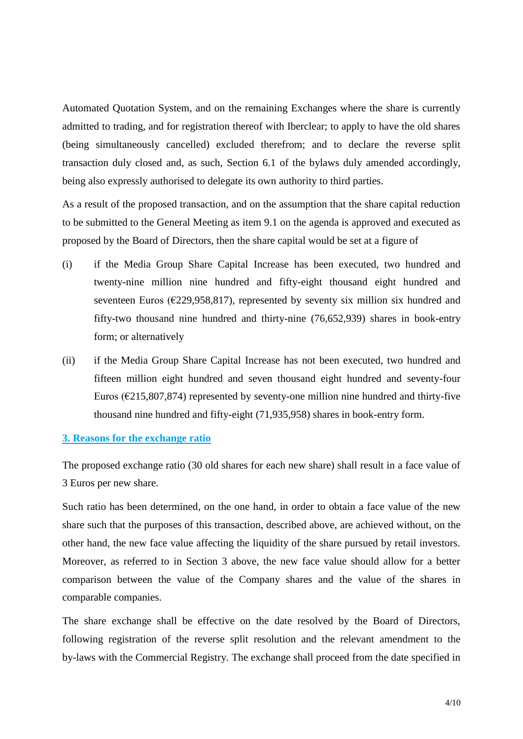Automated Quotation System, and on the remaining Exchanges where the share is currently admitted to trading, and for registration thereof with Iberclear; to apply to have the old shares (being simultaneously cancelled) excluded therefrom; and to declare the reverse split transaction duly closed and, as such, Section 6.1 of the bylaws duly amended accordingly, being also expressly authorised to delegate its own authority to third parties.

As a result of the proposed transaction, and on the assumption that the share capital reduction to be submitted to the General Meeting as item 9.1 on the agenda is approved and executed as proposed by the Board of Directors, then the share capital would be set at a figure of

- (i) if the Media Group Share Capital Increase has been executed, two hundred and twenty-nine million nine hundred and fifty-eight thousand eight hundred and seventeen Euros ( $\epsilon$ 229,958,817), represented by seventy six million six hundred and fifty-two thousand nine hundred and thirty-nine (76,652,939) shares in book-entry form; or alternatively
- (ii) if the Media Group Share Capital Increase has not been executed, two hundred and fifteen million eight hundred and seven thousand eight hundred and seventy-four Euros ( $\epsilon$ 215,807,874) represented by seventy-one million nine hundred and thirty-five thousand nine hundred and fifty-eight (71,935,958) shares in book-entry form.

## **3. Reasons for the exchange ratio**

The proposed exchange ratio (30 old shares for each new share) shall result in a face value of 3 Euros per new share.

Such ratio has been determined, on the one hand, in order to obtain a face value of the new share such that the purposes of this transaction, described above, are achieved without, on the other hand, the new face value affecting the liquidity of the share pursued by retail investors. Moreover, as referred to in Section 3 above, the new face value should allow for a better comparison between the value of the Company shares and the value of the shares in comparable companies.

The share exchange shall be effective on the date resolved by the Board of Directors, following registration of the reverse split resolution and the relevant amendment to the by-laws with the Commercial Registry. The exchange shall proceed from the date specified in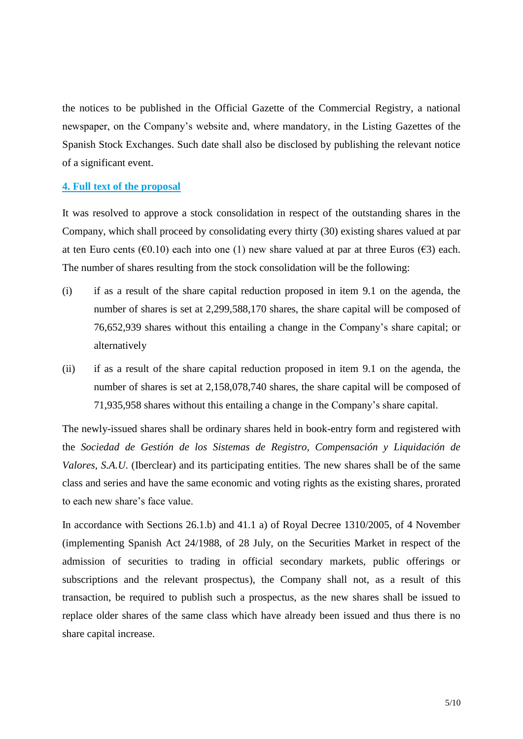the notices to be published in the Official Gazette of the Commercial Registry, a national newspaper, on the Company's website and, where mandatory, in the Listing Gazettes of the Spanish Stock Exchanges. Such date shall also be disclosed by publishing the relevant notice of a significant event.

#### **4. Full text of the proposal**

It was resolved to approve a stock consolidation in respect of the outstanding shares in the Company, which shall proceed by consolidating every thirty (30) existing shares valued at par at ten Euro cents ( $\epsilon$ 0.10) each into one (1) new share valued at par at three Euros ( $\epsilon$ 3) each. The number of shares resulting from the stock consolidation will be the following:

- (i) if as a result of the share capital reduction proposed in item 9.1 on the agenda, the number of shares is set at 2,299,588,170 shares, the share capital will be composed of 76,652,939 shares without this entailing a change in the Company's share capital; or alternatively
- (ii) if as a result of the share capital reduction proposed in item 9.1 on the agenda, the number of shares is set at 2,158,078,740 shares, the share capital will be composed of 71,935,958 shares without this entailing a change in the Company's share capital.

The newly-issued shares shall be ordinary shares held in book-entry form and registered with the *Sociedad de Gestión de los Sistemas de Registro, Compensación y Liquidación de Valores, S.A.U*. (Iberclear) and its participating entities. The new shares shall be of the same class and series and have the same economic and voting rights as the existing shares, prorated to each new share's face value.

In accordance with Sections 26.1.b) and 41.1 a) of Royal Decree 1310/2005, of 4 November (implementing Spanish Act 24/1988, of 28 July, on the Securities Market in respect of the admission of securities to trading in official secondary markets, public offerings or subscriptions and the relevant prospectus), the Company shall not, as a result of this transaction, be required to publish such a prospectus, as the new shares shall be issued to replace older shares of the same class which have already been issued and thus there is no share capital increase.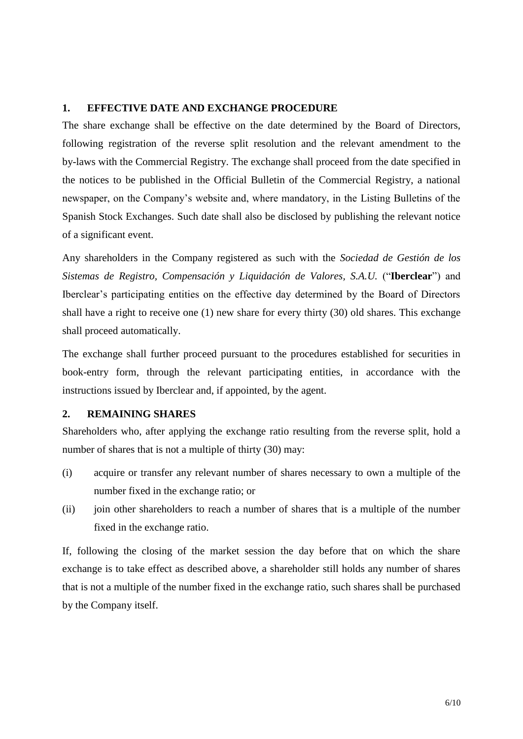# **1. EFFECTIVE DATE AND EXCHANGE PROCEDURE**

The share exchange shall be effective on the date determined by the Board of Directors, following registration of the reverse split resolution and the relevant amendment to the by-laws with the Commercial Registry. The exchange shall proceed from the date specified in the notices to be published in the Official Bulletin of the Commercial Registry, a national newspaper, on the Company's website and, where mandatory, in the Listing Bulletins of the Spanish Stock Exchanges. Such date shall also be disclosed by publishing the relevant notice of a significant event.

Any shareholders in the Company registered as such with the *Sociedad de Gestión de los Sistemas de Registro, Compensación y Liquidación de Valores, S.A.U.* ("**Iberclear**") and Iberclear's participating entities on the effective day determined by the Board of Directors shall have a right to receive one (1) new share for every thirty (30) old shares. This exchange shall proceed automatically.

The exchange shall further proceed pursuant to the procedures established for securities in book-entry form, through the relevant participating entities, in accordance with the instructions issued by Iberclear and, if appointed, by the agent.

## **2. REMAINING SHARES**

Shareholders who, after applying the exchange ratio resulting from the reverse split, hold a number of shares that is not a multiple of thirty (30) may:

- (i) acquire or transfer any relevant number of shares necessary to own a multiple of the number fixed in the exchange ratio; or
- (ii) join other shareholders to reach a number of shares that is a multiple of the number fixed in the exchange ratio.

If, following the closing of the market session the day before that on which the share exchange is to take effect as described above, a shareholder still holds any number of shares that is not a multiple of the number fixed in the exchange ratio, such shares shall be purchased by the Company itself.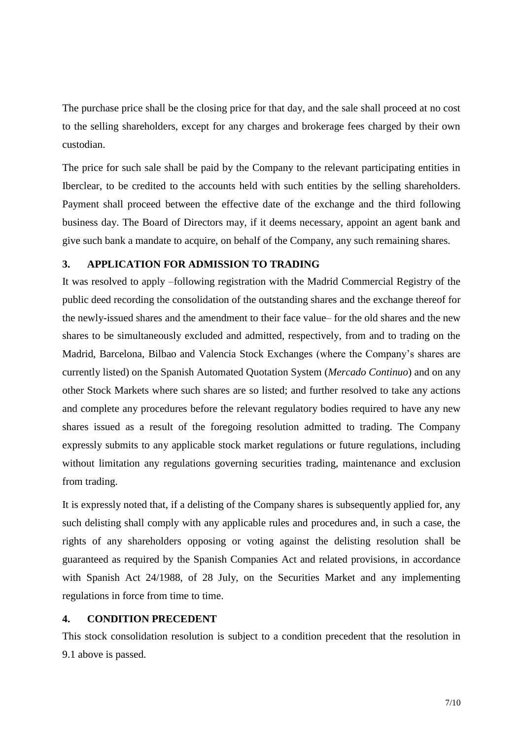The purchase price shall be the closing price for that day, and the sale shall proceed at no cost to the selling shareholders, except for any charges and brokerage fees charged by their own custodian.

The price for such sale shall be paid by the Company to the relevant participating entities in Iberclear, to be credited to the accounts held with such entities by the selling shareholders. Payment shall proceed between the effective date of the exchange and the third following business day. The Board of Directors may, if it deems necessary, appoint an agent bank and give such bank a mandate to acquire, on behalf of the Company, any such remaining shares.

### **3. APPLICATION FOR ADMISSION TO TRADING**

It was resolved to apply –following registration with the Madrid Commercial Registry of the public deed recording the consolidation of the outstanding shares and the exchange thereof for the newly-issued shares and the amendment to their face value– for the old shares and the new shares to be simultaneously excluded and admitted, respectively, from and to trading on the Madrid, Barcelona, Bilbao and Valencia Stock Exchanges (where the Company's shares are currently listed) on the Spanish Automated Quotation System (*Mercado Continuo*) and on any other Stock Markets where such shares are so listed; and further resolved to take any actions and complete any procedures before the relevant regulatory bodies required to have any new shares issued as a result of the foregoing resolution admitted to trading. The Company expressly submits to any applicable stock market regulations or future regulations, including without limitation any regulations governing securities trading, maintenance and exclusion from trading.

It is expressly noted that, if a delisting of the Company shares is subsequently applied for, any such delisting shall comply with any applicable rules and procedures and, in such a case, the rights of any shareholders opposing or voting against the delisting resolution shall be guaranteed as required by the Spanish Companies Act and related provisions, in accordance with Spanish Act 24/1988, of 28 July, on the Securities Market and any implementing regulations in force from time to time.

# **4. CONDITION PRECEDENT**

This stock consolidation resolution is subject to a condition precedent that the resolution in 9.1 above is passed.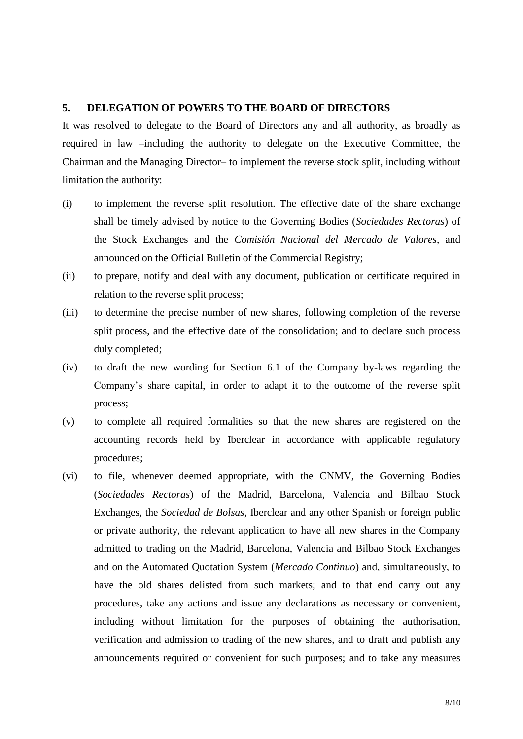#### **5. DELEGATION OF POWERS TO THE BOARD OF DIRECTORS**

It was resolved to delegate to the Board of Directors any and all authority, as broadly as required in law –including the authority to delegate on the Executive Committee, the Chairman and the Managing Director– to implement the reverse stock split, including without limitation the authority:

- (i) to implement the reverse split resolution. The effective date of the share exchange shall be timely advised by notice to the Governing Bodies (*Sociedades Rectoras*) of the Stock Exchanges and the *Comisión Nacional del Mercado de Valores*, and announced on the Official Bulletin of the Commercial Registry;
- (ii) to prepare, notify and deal with any document, publication or certificate required in relation to the reverse split process;
- (iii) to determine the precise number of new shares, following completion of the reverse split process, and the effective date of the consolidation; and to declare such process duly completed;
- (iv) to draft the new wording for Section 6.1 of the Company by-laws regarding the Company's share capital, in order to adapt it to the outcome of the reverse split process;
- (v) to complete all required formalities so that the new shares are registered on the accounting records held by Iberclear in accordance with applicable regulatory procedures;
- (vi) to file, whenever deemed appropriate, with the CNMV, the Governing Bodies (*Sociedades Rectoras*) of the Madrid, Barcelona, Valencia and Bilbao Stock Exchanges, the *Sociedad de Bolsas*, Iberclear and any other Spanish or foreign public or private authority, the relevant application to have all new shares in the Company admitted to trading on the Madrid, Barcelona, Valencia and Bilbao Stock Exchanges and on the Automated Quotation System (*Mercado Continuo*) and, simultaneously, to have the old shares delisted from such markets; and to that end carry out any procedures, take any actions and issue any declarations as necessary or convenient, including without limitation for the purposes of obtaining the authorisation, verification and admission to trading of the new shares, and to draft and publish any announcements required or convenient for such purposes; and to take any measures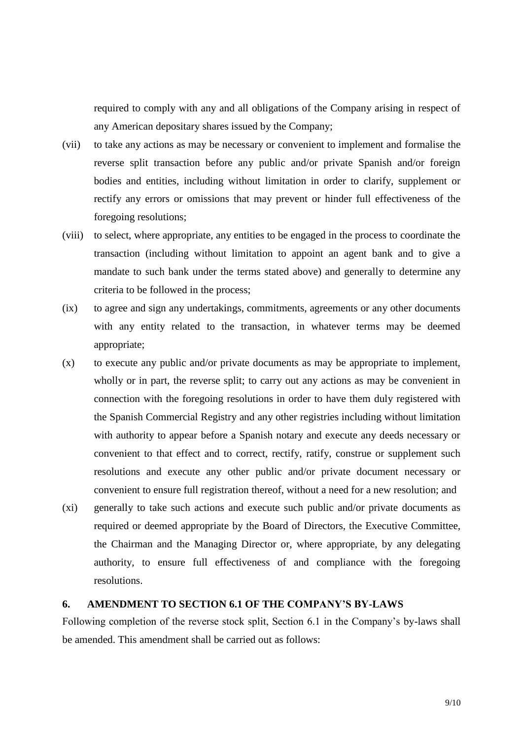required to comply with any and all obligations of the Company arising in respect of any American depositary shares issued by the Company;

- (vii) to take any actions as may be necessary or convenient to implement and formalise the reverse split transaction before any public and/or private Spanish and/or foreign bodies and entities, including without limitation in order to clarify, supplement or rectify any errors or omissions that may prevent or hinder full effectiveness of the foregoing resolutions;
- (viii) to select, where appropriate, any entities to be engaged in the process to coordinate the transaction (including without limitation to appoint an agent bank and to give a mandate to such bank under the terms stated above) and generally to determine any criteria to be followed in the process;
- (ix) to agree and sign any undertakings, commitments, agreements or any other documents with any entity related to the transaction, in whatever terms may be deemed appropriate;
- (x) to execute any public and/or private documents as may be appropriate to implement, wholly or in part, the reverse split; to carry out any actions as may be convenient in connection with the foregoing resolutions in order to have them duly registered with the Spanish Commercial Registry and any other registries including without limitation with authority to appear before a Spanish notary and execute any deeds necessary or convenient to that effect and to correct, rectify, ratify, construe or supplement such resolutions and execute any other public and/or private document necessary or convenient to ensure full registration thereof, without a need for a new resolution; and
- (xi) generally to take such actions and execute such public and/or private documents as required or deemed appropriate by the Board of Directors, the Executive Committee, the Chairman and the Managing Director or, where appropriate, by any delegating authority, to ensure full effectiveness of and compliance with the foregoing resolutions.

# **6. AMENDMENT TO SECTION 6.1 OF THE COMPANY'S BY-LAWS**

Following completion of the reverse stock split, Section 6.1 in the Company's by-laws shall be amended. This amendment shall be carried out as follows: